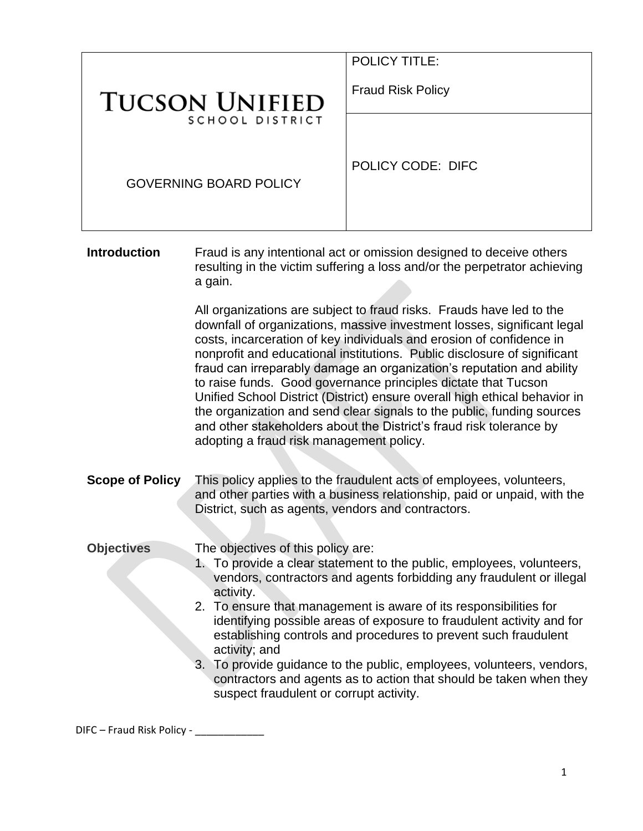|                                                                                     | <b>POLICY TITLE:</b>     |  |
|-------------------------------------------------------------------------------------|--------------------------|--|
| <b>TUCSON UNIFIED</b><br>SCHOOL DISTRICT                                            | <b>Fraud Risk Policy</b> |  |
|                                                                                     |                          |  |
| <b>GOVERNING BOARD POLICY</b>                                                       | <b>POLICY CODE: DIFC</b> |  |
| Fraud is any intentional act or omission designed to deceive others<br>Introduction |                          |  |

**Introduction** Fraud is any intentional act or omission designed to deceive others resulting in the victim suffering a loss and/or the perpetrator achieving a gain.

> All organizations are subject to fraud risks. Frauds have led to the downfall of organizations, massive investment losses, significant legal costs, incarceration of key individuals and erosion of confidence in nonprofit and educational institutions. Public disclosure of significant fraud can irreparably damage an organization's reputation and ability to raise funds. Good governance principles dictate that Tucson Unified School District (District) ensure overall high ethical behavior in the organization and send clear signals to the public, funding sources and other stakeholders about the District's fraud risk tolerance by adopting a fraud risk management policy.

**Scope of Policy** This policy applies to the fraudulent acts of employees, volunteers, and other parties with a business relationship, paid or unpaid, with the District, such as agents, vendors and contractors.

**Objectives** The objectives of this policy are:

- 1. To provide a clear statement to the public, employees, volunteers, vendors, contractors and agents forbidding any fraudulent or illegal activity.
- 2. To ensure that management is aware of its responsibilities for identifying possible areas of exposure to fraudulent activity and for establishing controls and procedures to prevent such fraudulent activity; and
- 3. To provide guidance to the public, employees, volunteers, vendors, contractors and agents as to action that should be taken when they suspect fraudulent or corrupt activity.

DIFC – Fraud Risk Policy - \_\_\_\_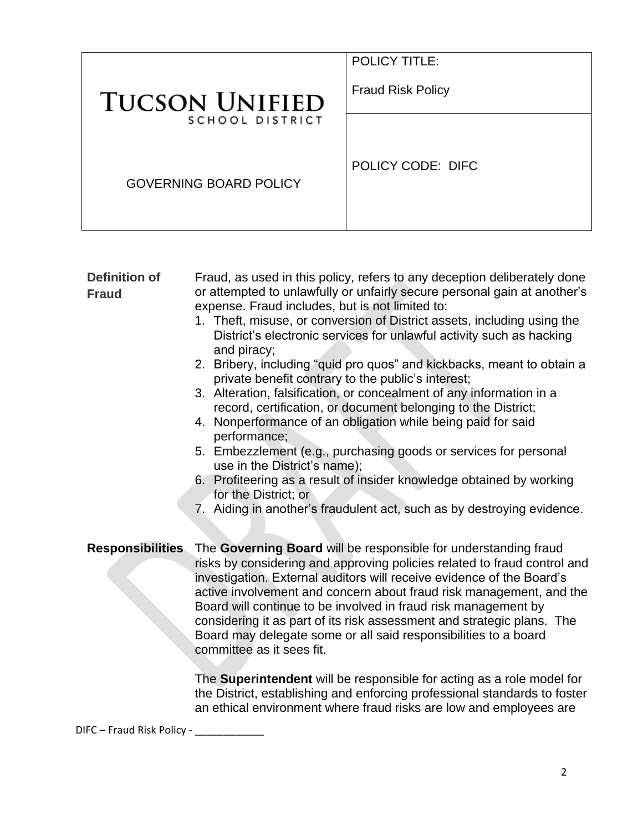| <b>TUCSON UNIFIED</b><br>SCHOOL DISTRICT<br><b>GOVERNING BOARD POLICY</b> | <b>POLICY TITLE:</b><br><b>Fraud Risk Policy</b> |
|---------------------------------------------------------------------------|--------------------------------------------------|
|                                                                           | POLICY CODE: DIFC                                |
|                                                                           |                                                  |

| <b>Definition of</b>                                                   | Fraud, as used in this policy, refers to any deception deliberately done                                                                        |  |
|------------------------------------------------------------------------|-------------------------------------------------------------------------------------------------------------------------------------------------|--|
| <b>Fraud</b>                                                           | or attempted to unlawfully or unfairly secure personal gain at another's                                                                        |  |
|                                                                        | expense. Fraud includes, but is not limited to:                                                                                                 |  |
|                                                                        | 1. Theft, misuse, or conversion of District assets, including using the                                                                         |  |
|                                                                        | District's electronic services for unlawful activity such as hacking                                                                            |  |
|                                                                        | and piracy;                                                                                                                                     |  |
|                                                                        | 2. Bribery, including "quid pro quos" and kickbacks, meant to obtain a<br>private benefit contrary to the public's interest;                    |  |
|                                                                        | 3. Alteration, falsification, or concealment of any information in a<br>record, certification, or document belonging to the District;           |  |
|                                                                        | 4. Nonperformance of an obligation while being paid for said                                                                                    |  |
|                                                                        | performance;                                                                                                                                    |  |
|                                                                        | 5. Embezzlement (e.g., purchasing goods or services for personal<br>use in the District's name);                                                |  |
|                                                                        | 6. Profiteering as a result of insider knowledge obtained by working                                                                            |  |
|                                                                        | for the District; or                                                                                                                            |  |
|                                                                        | 7. Aiding in another's fraudulent act, such as by destroying evidence.                                                                          |  |
|                                                                        |                                                                                                                                                 |  |
| <b>Responsibilities</b>                                                | The Governing Board will be responsible for understanding fraud                                                                                 |  |
|                                                                        | risks by considering and approving policies related to fraud control and                                                                        |  |
|                                                                        | investigation. External auditors will receive evidence of the Board's                                                                           |  |
|                                                                        | active involvement and concern about fraud risk management, and the                                                                             |  |
|                                                                        | Board will continue to be involved in fraud risk management by                                                                                  |  |
| considering it as part of its risk assessment and strategic plans. The |                                                                                                                                                 |  |
|                                                                        | Board may delegate some or all said responsibilities to a board                                                                                 |  |
| committee as it sees fit.                                              |                                                                                                                                                 |  |
|                                                                        |                                                                                                                                                 |  |
|                                                                        | The Superintendent will be responsible for acting as a role model for                                                                           |  |
|                                                                        | the District, establishing and enforcing professional standards to foster<br>an ethical environment where fraud risks are low and employees are |  |
|                                                                        |                                                                                                                                                 |  |

DIFC – Fraud Risk Policy - \_\_\_\_\_\_\_\_\_\_\_\_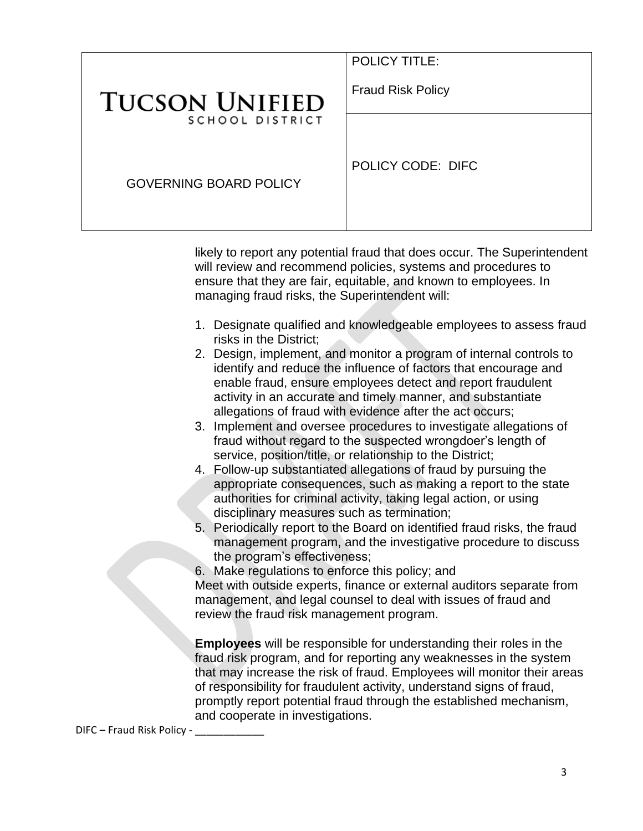|                                          | <b>POLICY TITLE:</b>     |
|------------------------------------------|--------------------------|
| <b>TUCSON UNIFIED</b><br>SCHOOL DISTRICT | <b>Fraud Risk Policy</b> |
|                                          |                          |
| <b>GOVERNING BOARD POLICY</b>            | POLICY CODE: DIFC        |

likely to report any potential fraud that does occur. The Superintendent will review and recommend policies, systems and procedures to ensure that they are fair, equitable, and known to employees. In managing fraud risks, the Superintendent will:

- 1. Designate qualified and knowledgeable employees to assess fraud risks in the District;
- 2. Design, implement, and monitor a program of internal controls to identify and reduce the influence of factors that encourage and enable fraud, ensure employees detect and report fraudulent activity in an accurate and timely manner, and substantiate allegations of fraud with evidence after the act occurs;
- 3. Implement and oversee procedures to investigate allegations of fraud without regard to the suspected wrongdoer's length of service, position/title, or relationship to the District;
- 4. Follow-up substantiated allegations of fraud by pursuing the appropriate consequences, such as making a report to the state authorities for criminal activity, taking legal action, or using disciplinary measures such as termination;
- 5. Periodically report to the Board on identified fraud risks, the fraud management program, and the investigative procedure to discuss the program's effectiveness;

6. Make regulations to enforce this policy; and

Meet with outside experts, finance or external auditors separate from management, and legal counsel to deal with issues of fraud and review the fraud risk management program.

**Employees** will be responsible for understanding their roles in the fraud risk program, and for reporting any weaknesses in the system that may increase the risk of fraud. Employees will monitor their areas of responsibility for fraudulent activity, understand signs of fraud, promptly report potential fraud through the established mechanism, and cooperate in investigations.

DIFC – Fraud Risk Policy -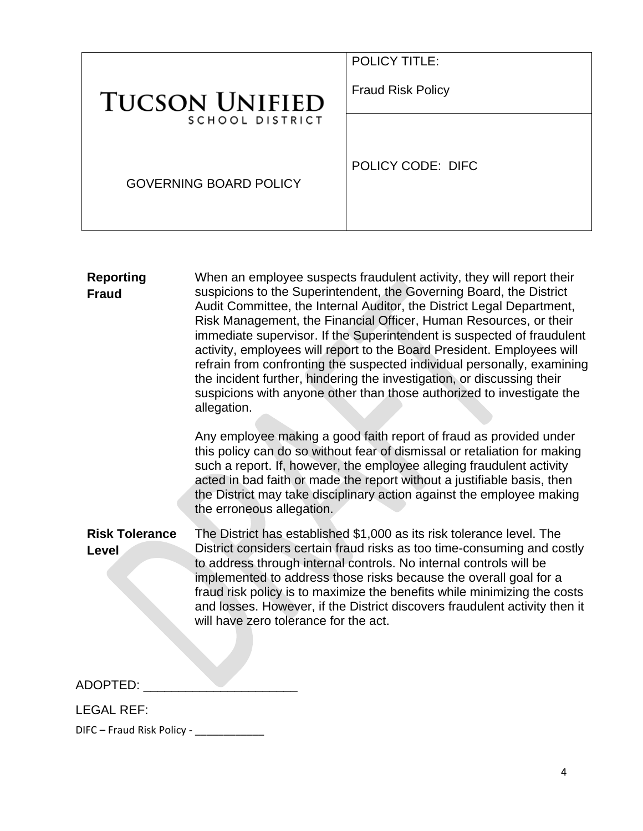| <b>TUCSON UNIFIED</b><br>SCHOOL DISTRICT | <b>POLICY TITLE:</b><br><b>Fraud Risk Policy</b> |
|------------------------------------------|--------------------------------------------------|
|                                          |                                                  |
| <b>GOVERNING BOARD POLICY</b>            | POLICY CODE: DIFC                                |

| <b>Reporting</b><br><b>Fraud</b> | When an employee suspects fraudulent activity, they will report their<br>suspicions to the Superintendent, the Governing Board, the District<br>Audit Committee, the Internal Auditor, the District Legal Department,<br>Risk Management, the Financial Officer, Human Resources, or their<br>immediate supervisor. If the Superintendent is suspected of fraudulent<br>activity, employees will report to the Board President. Employees will<br>refrain from confronting the suspected individual personally, examining<br>the incident further, hindering the investigation, or discussing their<br>suspicions with anyone other than those authorized to investigate the<br>allegation. |
|----------------------------------|---------------------------------------------------------------------------------------------------------------------------------------------------------------------------------------------------------------------------------------------------------------------------------------------------------------------------------------------------------------------------------------------------------------------------------------------------------------------------------------------------------------------------------------------------------------------------------------------------------------------------------------------------------------------------------------------|
|                                  | Any employee making a good faith report of fraud as provided under<br>this policy can do so without fear of dismissal or retaliation for making<br>such a report. If, however, the employee alleging fraudulent activity<br>acted in bad faith or made the report without a justifiable basis, then<br>the District may take disciplinary action against the employee making<br>the erroneous allegation.                                                                                                                                                                                                                                                                                   |
| <b>Risk Tolerance</b><br>Level   | The District has established \$1,000 as its risk tolerance level. The<br>District considers certain fraud risks as too time-consuming and costly<br>to address through internal controls. No internal controls will be<br>implemented to address those risks because the overall goal for a<br>fraud risk policy is to maximize the benefits while minimizing the costs<br>and losses. However, if the District discovers fraudulent activity then it<br>will have zero tolerance for the act.                                                                                                                                                                                              |
| ADOPTED:                         |                                                                                                                                                                                                                                                                                                                                                                                                                                                                                                                                                                                                                                                                                             |

LEGAL REF:

DIFC – Fraud Risk Policy - \_\_\_\_\_\_\_\_\_\_\_\_